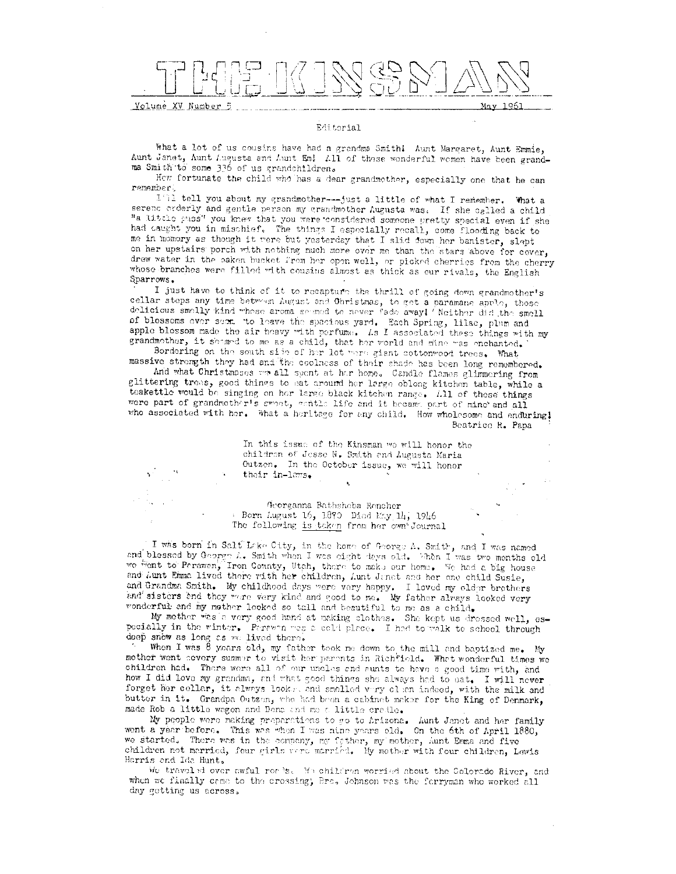Volume XV Number 5 May 1961

### Editorial

What a lot of us cousins have had a grandma Smith! Aunt Margaret, Aunt Emmie, Aunt Janet, Aunt Augusta and Aunt Em! All of those wonderful women have been grandma Smith to some 336 of us grandchildren.

Hew fortunate the child who has a dear grandmother, especially one that he can remember.

I'll tell you about my grandmother---just a little of what I remember. What a serenc orderly and gentle parson my grandmother Augusta was. If she called a child "a little puss" you knew that you were considered someone pretty special even if she had caught you in mischief. The things I especially recall, come flooding back to me in momory as though it were but yesterday that I slid down her banister, slept on her upstairs porch with nothing much more over me than the stars above for cover, drew water in the baken bucket from her open well, or picked cherries from the cherry whose branches were filled with cousins almest as thick as our rivals, the English Sparrows.

I just have to think of it to recapture the thrill of going down grandmother's cellar steps any time between August and Christmas, to get a paramane apple, those delicious smally kind whose aroma seemed to never fade away! Neither did the small of blossoms ever seem to leave the spacious yard. Each Spring, lilac, plum and apple blossom made the air heavy with perfume. Ls I associated these things with my grandmother, it seemed to me as a child, that her world and mine was enchanted.

Bordering on the south side of her lot were giant cottonwood trees. What massive strength they had and the coolness of their shade has been long remembered.

And what Christmases was all spent at her home. Candle flames glimmering from glittering trees, good things to eat around her large oblong kitchen table, while a teakettle would be singing on her large black kitchen range. All of these things were part of grandmother's sweet, achile life and it became part of mine and all who associated with her. What a heritage for any child. How wholesome and enduring! Beatrice R. Papa

> In this issue of the Kinsman we will honor the childron of Jesse N. Smith and Augusta Maria Outzen. In the October issue, we will honor their in-laws.

Georganna Bathshoba Roncher Born Lugust 16, 1870 Died May 14, 1946 The following is taken from her own Journal

I was born in Salt Lake City, in the home of George A. Smith, and I was named and blessed by George 1. Smith when I was eight days old. When I was two months old we went to Perawan, Iron County, Utch, there to make our home. We had a big house and Aunt Emma lived there with her children, Aunt Janet and her one child Susie, and Grandma Smith. My childhood days were very happy. I loved my older brothers and sisters and they were very kind and good to me. My father always looked very wonderful and my mother looked so tall and beautiful to me as a child.

My mother was a very good hand at making clothes. She kept us dressed well, especially in the winter. Perswan was a cold place. I had to walk to school through doep snow as long as we lived there.

When I was  $\bar{\vartheta}$  years old, my father took me down to the mill and baptized me. My mother went severy summer to visit her parents in Richfield. What wonderful times we children had. There were all of our uncles and sunts to have a good time with, and how I did love my grandma, and what good things she always had to eat. I will never forget her collar, it always looks, and smalled very clean indeed, with the milk and butter in it. Grandpa Outzen, who had been a cabinet maker for the King of Denmark, made Rob a little wagon and Dena and mo a little cradle.

My poople were making preparations to go to Arizona. Aunt Janet and her family wont a year before. This was when I was nine years old. On the 6th of April 1880, we started. There was in the company, my father, my mother, Aunt Emma and five children not married, four girls vere married. My mother with four children, Lawis Harris and Ida Hunt.

We traveled over awful romes. We children worried about the Colorado River, and when we finally came to the crossing; Bro, Johnson was the forryman who worked all day getting us across.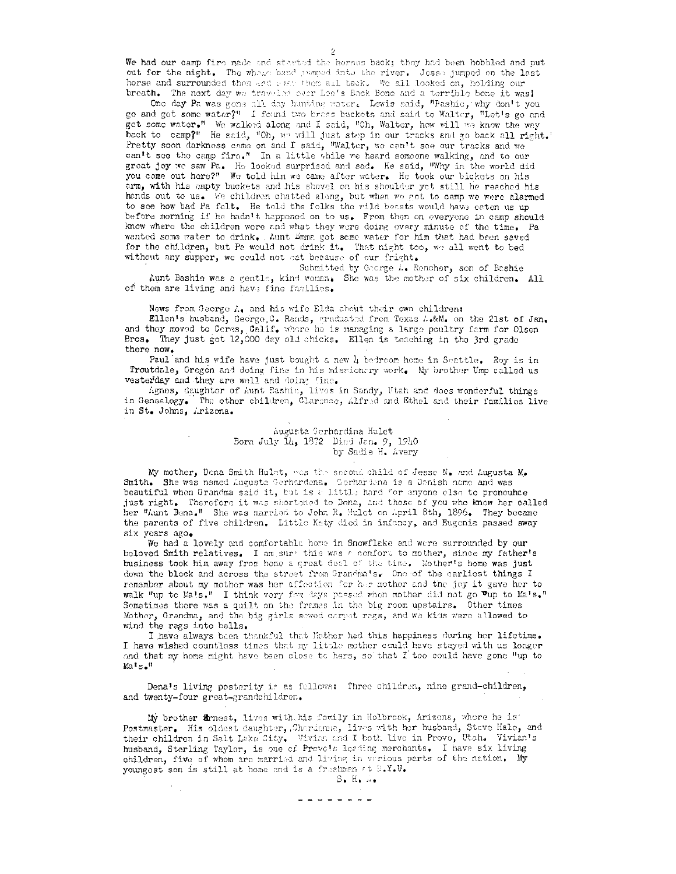We had our camp fire made and started the horses back; they had been hobbled and put out for the night. The whois band pumped into the river. Jesse jumped on the last horse and surrounded them and even them all back. We all looked on, holding our breath. The next day we traveled over Lee's Back Bone and a terrible bone it was!

One day Pa was gone all day hunting water. Lewis said, "Pashie, why don't you go and get some water?" I found two breas buckets and said to Walter, "Let's go and get some water." We walked along and I said, "Ch, Walter, how will we know the way back to camp?" He said, "Oh, we will just step in our tracks and go back all right.' Pretty soon darkness came on and I said, "Walter, we can't see our tracks and we can't see the camp fire." In a little while we heard someone walking, and to our great joy we saw Pa. He looked surprised and sad. He said, "Why in the world did you come out here?" We told him we came after water. He took our bickets on his arm, with his empty buckets and his shovel on his shoulder yet still he reached his hands out to us. We children chatted along, but when we got to camp we were alarmed to see how bad Pa felt. He told the folks the wild beasts would have eaten us up before morning if he hadn't happened on to us. From then on everyone in camp should know where the children were and what they were doing every minute of the time. Pa wanted some water to drink. Aunt Emma got some water for him that had been saved for the children, but Pa would not drink it. That night too, we all went to bed without any supper, we could not eat because of our fright.

Submitted by Gaorge A. Rencher, son of Bashie Aunt Bashie was a gentle, kind woman. She was the mother of six children. All of them are living and have fine families.

News from George A, and his wife Elda about their own children:

Ellen's husband, George C. Rands, graduated from Texas A.&M. on the 21st of Jan. and they moved to Ceres, Calif. where he is managing a large poultry farm for Olsen Bros. They just got 12,000 day old chicks. Ellen is teaching in the 3rd grade there now.

Paul and his wife have just bought a new 4 bedroom home in Seattle. Roy is in Troutdale, Cregon and doing fine in his missionary work. My brother Ump called us vesterday and they are well and doing fine.

Agnes, daughter of Aunt Rashie, lives in Sandy, Utah and does wonderful things in Genealogy. The other children, Clarence, Alfred and Ethel and their families live in St. Johns, Arizona.

> Augusta Gerhardina Hulet Born July 14, 1872 Died Jan. 9, 1940 by Sadie H. Avery

My mother, Dena Smith Hulet, was the second child of Jesse N. and Augusta M. Smith. She was named Augusta Gerhardena. Gerhardena is a Denish name and was beautiful when Grandma said it, but is a little hard for anyone else to pronounce just right. Therefore it was shortened to Dena, and those of you who know her called her "Aunt Dena." She was married to John R. Hulet on April 8th, 1896. They became the parents of five children. Little Katy died in infancy, and Eugenia passed away six years ago.

We had a lovely and comfortable home in Snowflake and were surrounded by our beloved Smith relatives. I am sure this was a comfort to mother, since my father's business took him away from home a great deal of the time. Mother's home was just down the block and across the street from Grandma's. One of the carliest things I remember about my mother was her affection for her mother and the jey it gave her to walk "up to Ma!s." I think very for days passed when mother did not go "up to Ma's." Sometimes there was a quilt on the frames in the big room upstairs. Other times Mother, Grandma, and the big girls sewed carpet regs, and we kids were allowed to wind the rags into balls.

I have always been thankful that Mother had this happiness during her lifetime. I have wished countless times that my little mother could have stayed with us longer and that my home might have been close to hers, so that I too could have gone "up to  $M_2$   $R_2$ .

Dena's living posterity is as fellows: Three children, nine grand-children, and twenty-four great-grandchildren.

My brother Ernest, lives with his family in Holbrook, Arizona, where he is Postmaster. His oldest daughter, Gherdenia, lives with her husband, Steve Hale, and their children in Salt Lake Sity. Vivien and I both live in Provo, Utah. Vivian's husband, Sterling Taylor, is one of Provets leading merchants. I have six living children, five of whom are married and living in verious parts of the nation. My youngest son is still at home and is a freshmen at B.Y.U.

 $S$ . H.  $\ldots$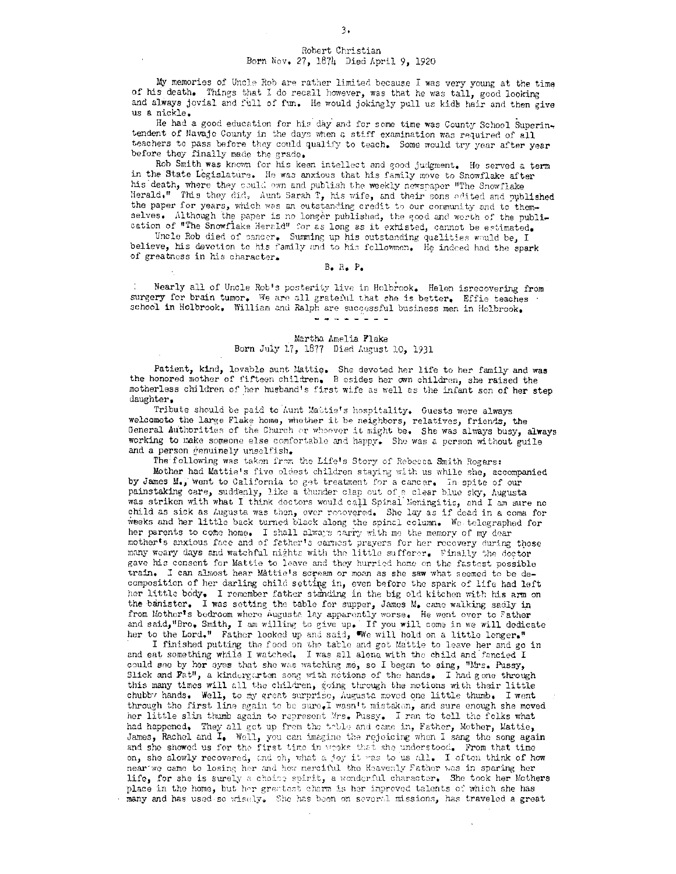## Robert Christian Born Nov, 27, 1874 Died April 9, 1920

My memories of Uncle Rob are rather limited because I was very young at the time of his death. Things that I do recall however, was that he was tall, good looking and always jovial and full of fun. He would jokingly pull us kids hair and then give us a nickle.

He had a good education for his day and for some time was County School Superintendent of Navajo County in the days when a stiff examination was required of all teachers to pass before they could qualify to teach. Some would try year after year before they finally made the grade.

Rob Smith was known for his keen intellect and good judgment. He served a term in the State Legislature. He was anxious that his family move to Snowflake after his death, where they could own and publish the weekly newspaper "The Snowflake Herald." This they did. Aunt Sarah T, his wife, and their sons edited and published the paper for years, which was an outstanding credit to our community and to themselves. Although the paper is no longer published, the good and worth of the publication of "The Snowflake Herald" for as long as it exhisted, cannot be estimated.

Uncle Rob died of cancer. Summing up his outstanding qualities would be, I believe, his devotion to his family and to his fellowmen. He indeed had the spark of greatness in his character.

### $B$ . R. P.

Nearly all of Uncle Rob's posterity live in Holbrook. Helen isrecovering from surgery for brain tumor. We are all grateful that she is better. Effie teaches school in Holbrook. William and Ralph are successful business men in Holbrook. 

### Martha Amelia Flake Born July 17, 1877 Died August 10, 1931

Patient, kind, lovable aunt Mattie. She devoted her life to her family and was the honored mother of fifteen children. Besides her own children, she raised the motherless children of her husband's first wife as well as the infant son of her step daughter.

Tribute should be paid to hunt Mattie's hospitality. Guests were always welcometo the large Flake home, whether it be neighbors, relatives, friends, the General Authorities of the Church or whoever it might be. She was always busy, always working to make someone else comfortable and happy. She was a person without guile and a person genuinely unselfish.

The following was taken from the Life's Story of Rebecca Smith Rogers:

Mother had Mattie's five oldest children staying with us while she, accompanied by James M., went to California to get treatment for a cancer. In spite of our painstaking care, suddenly, like a thunder clap out of a clear blue sky, Augusta was striken with what I think doctors would call Spinal Meningitis, and I am sure no child as sick as Augusta was then, ever recovered. She lay as if dead in a coma for weeks and her little back turned black along the spinal column. We telegraphed for her parents to come home. I shall always carry with me the memory of my dear mother's anxious face and of father's carnest prayers for her recovery during those many weary days and watchful nights with the little sufferer. Finally the doctor gave his consent for Mattie to leave and they hurried home on the fastest possible train. I can almost hear Mattic's scream or moan as she saw what seemed to be decomposition of her darling child setting in, even before the spark of life had left her little body. I remember father standing in the big old kitchen with his arm on the banister. I was setting the table for supper, James M. came walking sadly in from Mother's bedroom where Augusta lay apparently worse. He went over to Father and said, "Bro. Smith, I am willing to give up. If you will come in we will dedicate her to the Lord." Father looked up and said, We will hold on a little longer."

I finished putting the food on the table and got Mattie to leave her and go in and eat something while I watched. I was all alone with the child and fancied I could see by her syes that she was watching me, so I began to sing, "Mrs. Pussy, Slick and Fat", a kindergarten song with metions of the hands. I had gone through this many times will all the children, going through the motions with their little chubby hands. Well, to my great surprise, Augusta moved one little thumb. I went through the first line again to be sure. I wasn't mistaken, and sure enough she moved her little slim thumb again to represent Mrs. Pussy. I ran to tell the folks what had happened. They all got up from the table and came in, Father, Mother, Mattie, James, Rachel and I. Well, you can imagine the rejoicing when I sang the song again and she showed us for the first time in weeks that she understood. From that time on, she slowly recovered, and oh, what a joy it was to us all. I often think of how near we came to losing her and how merciful the Heavenly Father was in sparing her life, for she is surely a choice spirit, a wonderful character. She took her Mothers place in the home, but her greatest charm is her improved talents of which she has many and has used so wisely. She has been on several missions, has traveled a great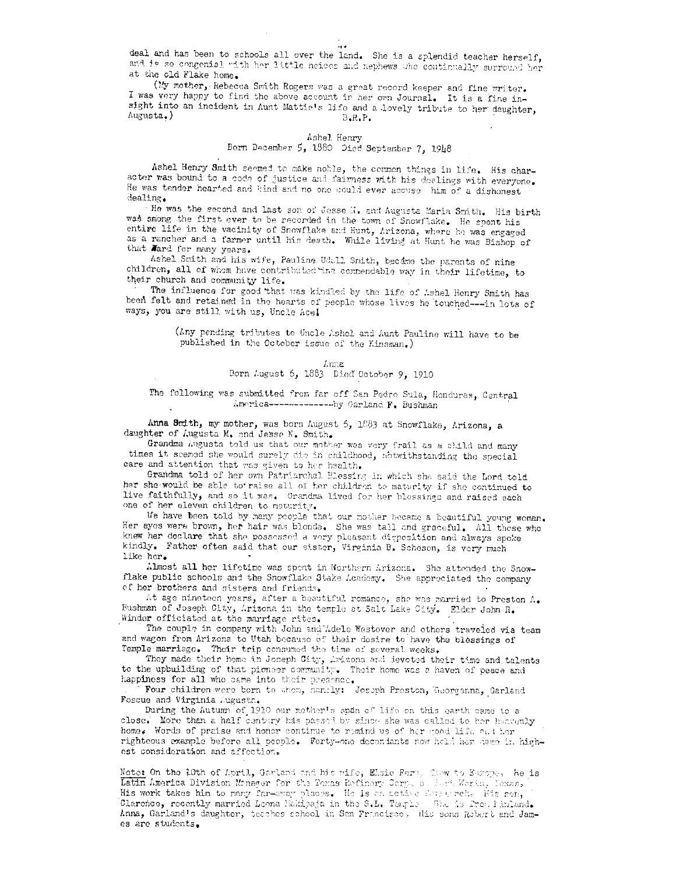deal and has been to schools all over the land. She is a splendid teacher herself, and is so congenial with her little neices and nephews who continually surround her at the old Flake home.

(My mother, Rebecca Smith Rogers was a great record keeper and fine writer. I was very happy to find the above account in her own Journal. It is a fine insight into an incident in Aunt Mattic's life and a lovely tribute to her daughter, Augusta.)  $B$ . $R$ . $P$ .

# Ashel Henry

## Born December 5, 1880 Died September 7, 1948

Ashel Henry Smith seemed to make noble, the common things in life. His character was bound to a code of justice and fairness with his dealings with everyone. He was tender hearted and kind and no one could ever accuse him of a dishonest dealing.

"He was the second and last son of Jesse N. and Augusta Maria Smith. His birth was smong the first ever to be recorded in the town of Snowflake. He spent his entive life in the vacinity of Snowflake and Hunt, Arizona, where he was engaged as a rancher and a farmer until his death. While living at Hunt he was Bishop of that Ward for many years.

Ashel Smith and his wife, Pauline Udall Smith, became the parents of nine children, all of whom have contributed that commendable way in their lifetime, to their church and community life.

The influence for good that was kindled by the life of Ashel Henry Smith has been felt and retained in the hearts of people whose lives he touched --- in lots of ways, you are still with us, Uncle Acel

> (Any pending tributes to Uncle Ashel and Aunt Pauline will have to be published in the October issue of the Kinsman.)

> > $Inz$ Born August 6, 1883 Died October 9, 1910

## The following was submitted from far off San Pedro Sula, Honduras, Central America--------------by Garland F. Bushman

Anna Smith, my mother, was born August 5, 1883 at Snowflake, Arizona, a daughter of Augusta M. and Jesse N. Smith.

Grandma Augusta told us that our mother was very frail as a child and many times it seemed she would surely die in childhood, notwithstanding the special care and attention that was given to her health.

Grandma told of her own Patriarchal Blessing in which she said the Lord told her she would be able to raise all of her children to maturity if she continued to live faithfully, and so it was. Grandma lived for her blessings and raised each one of her eleven children to maturity.

We have been told by many people that our mother became a beautiful young woman. Her eyes were brown, her hair was blonde. She was tall and graceful. All those who knew her declare that she possessed a very pleasant disposition and always spoke kindly. Father often said that our sister, Virginia B. Scheson, is very much like her.

Almost all her lifetime was spont in Northern Arizona. She attended the Snowflake public schools and the Snowflake Stake Academy. She appreciated the company of her brothers and sisters and friends.

At age ninateen years, after a beautiful romance, she was married to Preston A. Bushman of Joseph City, Arizona in the temple at Salt Lake City. Elder John R. Winder officiated at the marriage rites.

The couple in company with John and Ldele Westover and others traveled via team and wagon from Arizona to Utah because of their desire to have the blessings of Temple marriage. Their trip consumed the time of several weeks.

They made their home in Joseph City, Arizona and devoted their time and talents to the upbuilding of that pioneer community. Their home was a haven of peace and happiness for all who came into their presence.

Four children were born to them, namely: Joseph Preston, Georganna, Garland Foscue and Virginia Augusta.

During the Autumn of 1910 our mother's span of life on this earth came to a close. More than a half century has passed by since she was called to her heavenly home. Words of praise and honor continue to remind us of her good life and her righteous example before all people. Forty-one decondants now held her news in highest consideration and affection.

Note: On the 10th of April, Garland and his wife, Elsie Fern, Claw to Europe. He is Latin America Division Monager for the Toxas Refinery Corp. of Just Worth, Toxas, His work takes him to many far-evay places. He is an active feareered, His son, Clarence, recently married Loona Makipaja in the S.L. Temple She is free Pinland. Anna, Garland's daughter, teaches school in San Francisco, His sons Robert and Janes are students.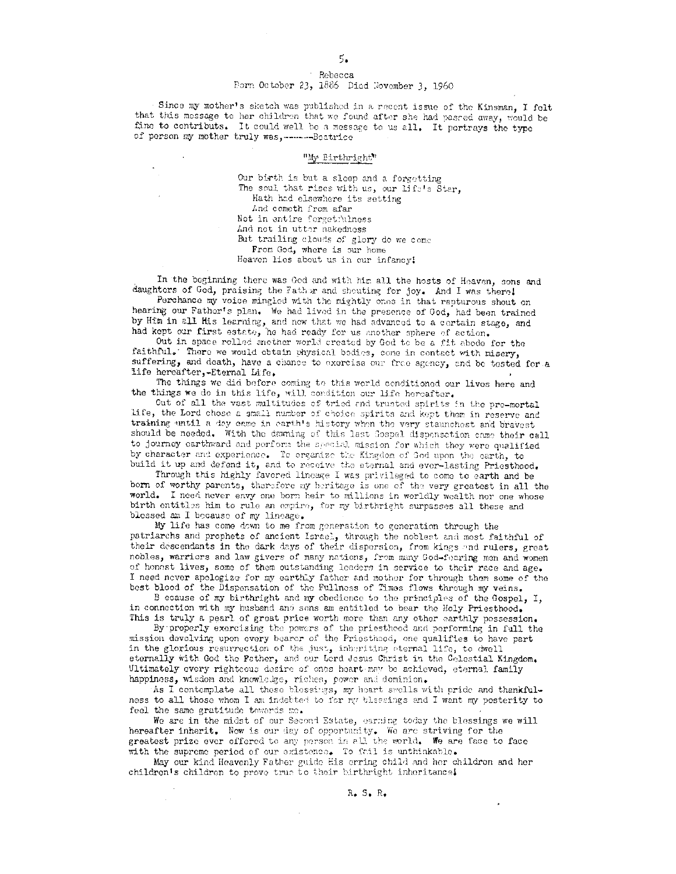### Rebecca Born October 23, 1886 Died November 3, 1960

Since my mother's sketch was published in a recent issue of the Kinsman, I folt that this message to her children that we found after she had passed away, would be fine to contributs. It could well be a message to us all. It portrays the type of person my mother truly was,-------Beatrice

### "My Birthright"

Our birth is but a sleep and a forgetting The soul that rises with us, our life's Star, Hath had elsewhere its setting And cometh from afar Not in entire forgetfulness And not in utter nakedness But trailing clouds of glory do we come From God, where is our home Heaven lies about us in our infancy!

In the beginning there was God and with him all the hosts of Heaven, sons and daughters of God, praising the Father and shouting for joy. And I was there!

Perchance my voice mingled with the mightly ones in that rapturous shout on hearing our Father's plan. We had lived in the presence of God, had been trained by Him in all His learning, and now that we had advanced to a certain stage, and had kept our first estate, he had ready for us another sphere of action.

Out in space rolled another world created by God to be a fit abode for the faithful. There we would obtain physical bodies, come in contact with misery, suffering, and death, have a chance to exercise our free agency, and be tested for a life hereafter,-Eternal Life.

The things we did before coming to this world conditioned our lives here and the things we do in this life, will condition our life hereafter.

Out of all the vast multitudes of tried and trusted spirits in the pre-mortal life, the Lord chose a small number of choice spirits and kept them in reserve and training until a day came in earth's history when the very staunchest and bravest should be needed. With the dawning of this last Gospel dispensation came their call to journey carthward and perform the special mission for which they were qualified by character and experience. To organize the Kingdom of God upon the earth, to build it up and defend it, and to receive the sternal and ever-lasting Priesthood.

Through this highly favored lineage I was privileged to come to earth and be born of worthy parents, therefore my heritage is one of the very greatest in all the world. I need never envy one born heir to millions in worldly wealth nor one whose birth entitles him to rule an empire, for my birthright surpasses all these and blessed am I because of my lineage.

My life has come down to me from generation to generation through the patriarchs and prophets of ancient Israel, through the noblest and most faithful of their descendants in the dark days of their dispersion, from kings and rulers, great nobles, warriors and law givers of many nations, from many God-fearing men and women of honest lives, some of them outstanding leaders in service to their race and age. I need nover apologize for my earthly father and mother for through them some of the best blood of the Dispensation of the Fullness of Times flows through my veins.

B ecause of my birthright and my obedience to the principles of the Gospel, I, in connection with my husband and sons am entitled to bear the Holy Priesthood. This is truly a pearl of great price worth more than any other earthly possession.

By properly exercising the powers of the priestheod and performing in full the mission devolving upon every bearer of the Priesthood, one qualifies to have part in the glorious resurrection of the just, inheriting eternal life, to dwell eternally with God the Pether, and our Lerd Jesus Christ in the Celestial Kingdom. Ultimately every rightcous desire of ones heart may be achieved, eternal family happiness, wisdom and knowledge, riches, power and dominion.

As I contemplate all these blessings, my heart swells with pride and thankfulness to all those whom I am indebted to for my blassings and I want my posterity to feel the same gratitude towards me.

We are in the midst of our Second Estate, earning today the blessings we will hereafter inherit. Now is our day of opportunity. We are striving for the greatest prize ever offered to any person in all the world. We are face to face with the supreme period of our existence. To fail is unthinkable.

May our kind Heavenly Father guide His erring child and her childron and her children's children to prove true to their birthright inheritance!

 $R_{\bullet} S_{\bullet} R_{\bullet}$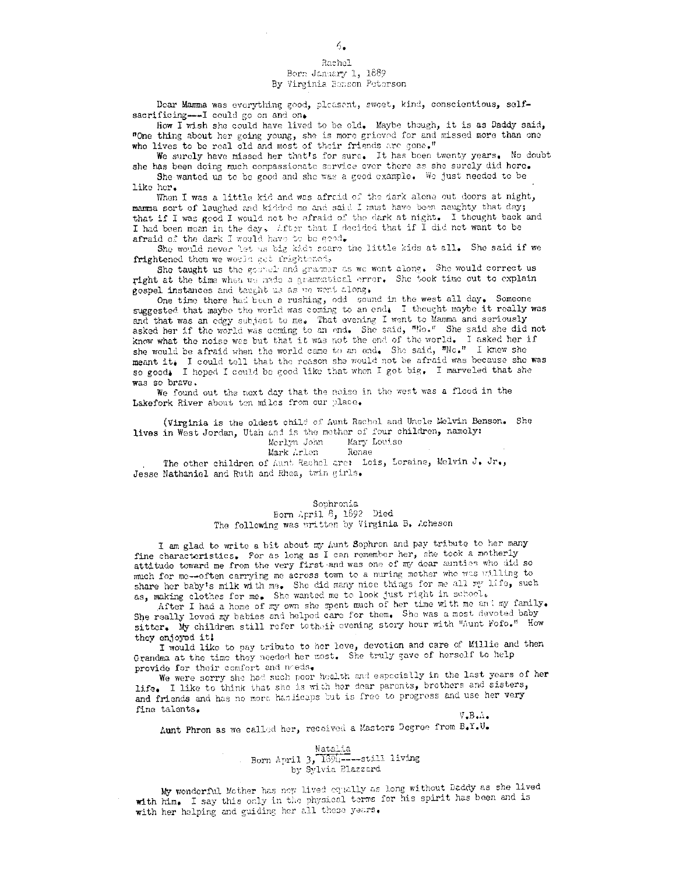# Rachel Born January 1, 1889

## By Virginia Benson Peterson

Dear Mamma was everything good, pleasent, sweet, kind, conscientious, selfsacrificing--- I could go on and on.

How I wish she could have lived to be old. Maybe though, it is as Daddy said, "One thing about her going young, she is more grieved for and missed more than one who lives to be real old and most of their friends are gone."

We surely have missed her that's for sure. It has been twenty years. No doubt she has been doing much compassionate service over there as she surely did here.

She wanted us to be good and she was a good example. We just needed to be like her.

When I was a little kid and was afraid of the dark alone out doors at night, mamma sort of laughed and kidded me and said I must have been naughty that day; that if I was good I would not be afraid of the dark at night. I thought back and I had been mean in the day. Liter that I decided that if I did not want to be afraid of the dark I would have to be good.

She would never let us big kids scare the little kids at all. She said if we frightened them we would get frightened.

She taught us the gossel and gramar as we went along. She would correct us right at the time when we made a grammatical error. She took time out to explain gospel instances and taught us as we went along.

One time there had been a rushing, odd sound in the west all day. Someone suggested that maybe the world was coming to an end. I thought maybe it really was and that was an edgy subject to me. That evening I went to Mamma and seriously asked her if the world was coming to an end. She said, "No." She said she did not know what the noise was but that it was not the end of the world. I asked her if she would be afraid when the world came to an end. She said, "No." I knew she meant it. I could tell that the reason she would not be afraid was because she was so good. I hoped I could be good like that when I got big. I marveled that she was so brave.

We found out the next day that the noise in the west was a flood in the Lakefork River about ten miles from our place.

(Virginia is the oldest child of Aunt Rachol and Uncle Melvin Benson. She lives in West Jordan, Utah and is the mother of four children, namely:

Mary Louise Merlyn John

Mark Arlen Renae

The other children of Aunt Rachel are: Lois, Loraine, Melvin J. Jr., Jesse Nathaniel and Ruth and Rhea, twin girls.

### Sophronia

## Born April  $\beta$ , 1892 Died The following was written by Virginia B. Acheson

I am glad to write a bit about my Aunt Sophron and pay tribute to her many fine characteristics. For as long as I can remember her, she took a motherly attitude toward me from the very first and was one of my dear aunties who did so much for me--often carrying me across town to a nuring mother who was willing to share her baby's milk with me. She did many nice things for me all my life, such as, making clothes for me. She wanted me to look just right in school.

After I had a home of my own she spent much of her time with me and my family. She really loved my babies and helped care for them. She was a most devoted baby sitter. My children still refer to their evening story hour with "Aunt Fofo." How they enjoyed it!

I would like to pay tribute to her love, devotion and care of Millie and then Grandma at the time they needed her most. She truly gave of herself to help provide for their comfort and needs.

We were sorry she had such poor health and especially in the last years of her life. I like to think that she is with her dear parents, brothers and sisters, and friends and has no more handicaps but is free to progress and use her very fine talents.  $V$ ,  $B_{\text{max}}$ 

Aunt Phron as we called her, received a Masters Degree from B.Y.U.

### Natalia Born April  $3, 1394$ ----still living by Sylvia Blazzard

My wonderful Mother has now lived equally as long without Daddy as she lived with him. I say this only in the physical terms for his spirit has been and is with her helping and guiding her all these years.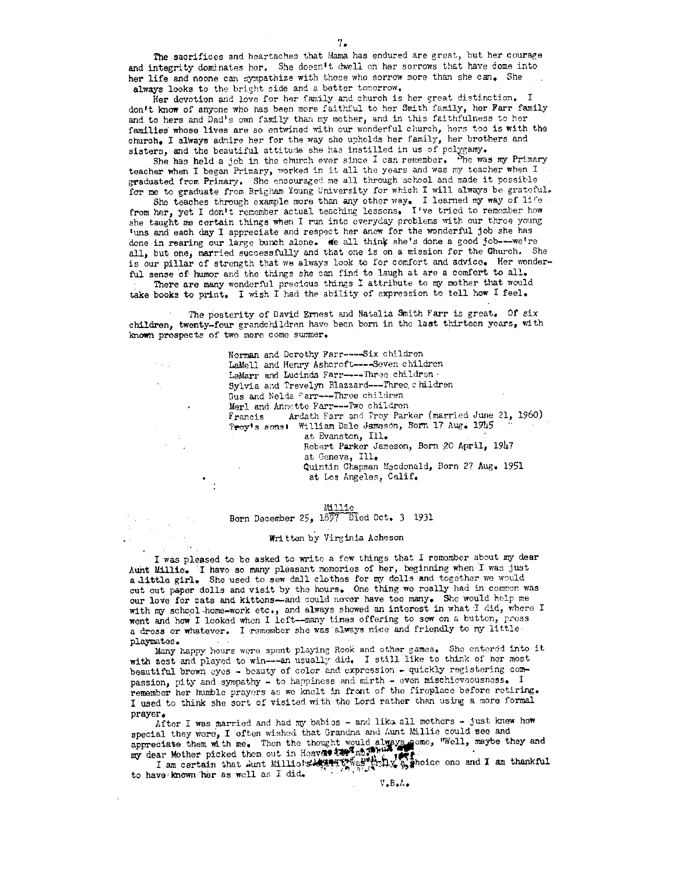The sacrifices and heartaches that Mama has endured are great, but her courage and integrity dominates her. She doesn't dwell on her sorrows that have come into her life and noone can sympathize with those who sorrow more than she can. She always looks to the bright side and a better tomorrow.

Her devotion and love for her family and church is her great distinction. I don't know of anyone who has been more faithful to her Smith family, her Farr family and to hers and Dad's own family than my mother, and in this faithfulness to her families whose lives are so entwined with our wonderful church, hers too is with the church. I always admire her for the way she upholds her family, her brothers and sisters, and the beautiful attitude she has instilled in us of polygamy.

She has held a job in the church ever since I can remember. She was my Primary teacher when I began Primary, worked in it all the years and was my teacher when I graduated from Primary. She encouraged me all through school and made it possible for me to graduate from Brigham Young University for which I will always be grateful.

She teaches through example more than any other way. I learned my way of life from her, yet I don't remember actual teaching lessons. I've tried to remember how she taught me certain things when I run into everyday problems with our three young 'uns and each day I appreciate and respect her anew for the wonderful job she has done in rearing our large bunch alone. We all think she's done a good job---we're all, but one, married successfully and that one is on a mission for the Church. She is our pillar of strength that we always look to for comfort and advice. Her wonderful sense of humor and the things she can find to laugh at are a comfort to all. There are many wonderful precious things I attribute to my mother that would

take books to print. I wish I had the ability of expression to tell how I feel.

The posterity of David Ernest and Natalia Smith Farr is great. Of six children, twenty-four grandchildren have been born in the last thirteen years, with known prospects of two more come summer.

 $\gamma$  ,  $\gamma$ 

Norman and Dorothy Farr----Six children LaMell and Henry Ashcroft----Seven children LaMarr and Lucinda Farr-----Three children . Sylvia and Trevelyn Blazzard---Three children Gus and Nelda Farr---Three children Merl and Annotte Farr---Two children Ardath Farr and Troy Parker (married June 21, 1960) Francis Troy's sonst William Dale Jameson, Born 17 Aug. 1945 at Evanston, Ill. Robert Parker Jameson, Born 20 April, 1947 at Geneva, Ill. Quintin Chapman Macdonald, Born 27 Aug. 1951 at Los Angeles, Calif.

Millie

Born December 25, 1897 Died Oct. 3 1931

### Written by Virginia Acheson

I was pleased to be asked to write a few things that I remember about my dear Aunt Millie. I have so many pleasant memories of her, beginning when I was just a little girl. She used to sew dall clothes for my dolls and together we would cut out papor dolls and visit by the hours. One thing we roally had in common was our love for cats and kittens-and could never have too many. She would help me with my school home-work etc., and always showed an interest in what I did, where I went and how I looked when I left--many times offering to sew on a button, press a dress or whatever. I remember she was always nice and friendly to my little playmates.

Many happy hours were spent playing Rook and other games. She entered into it with zest and played to win----an usually did. I still like to think of her most beautiful brown eyes - beauty of color and expression - quickly registering compassion, pity and sympathy - to happiness and mirth - even mischieveousness. I remember her humble prayers as we knolt in front of the fireplace before retiring. I used to think she sort of visited with the Lord rather than using a more formal praver.

After I was married and had my babies - and like all mothers - just knew how special they were, I often wished that Grandma and Aunt Millie could see and appreciate them with me. Then the thought would always come, "Well, maybe they and my dear Mother picked them out in Heaven trees in the species one, well, maybe they and I am certain that Aunt Millions Answer weight thus,

to have known her as well as I did.